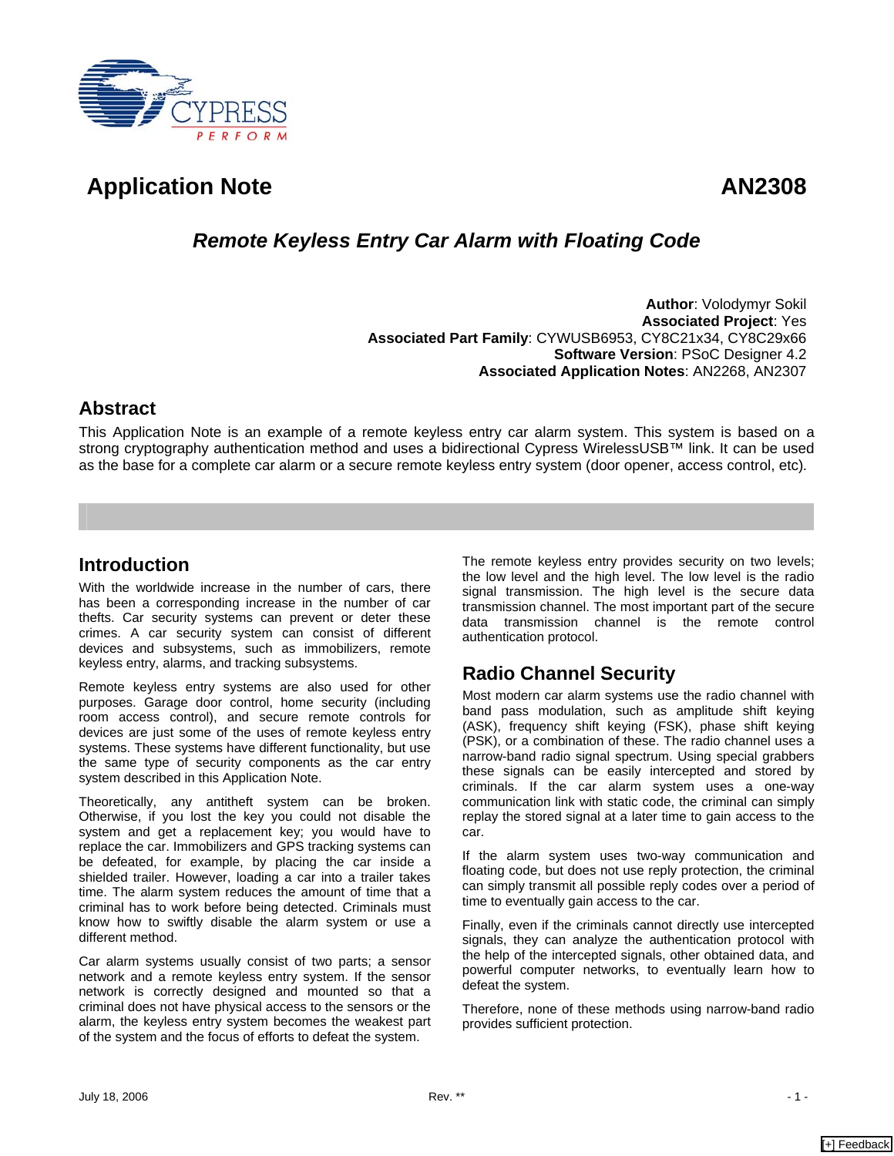

# Application Note **AN2308**

## *Remote Keyless Entry Car Alarm with Floating Code*

**Author**: Volodymyr Sokil **Associated Project**: Yes **Associated Part Family**: CYWUSB6953, CY8C21x34, CY8C29x66 **Software Version**: PSoC Designer 4.2 **Associated Application Notes**: AN2268, AN2307

### **Abstract**

This Application Note is an example of a remote keyless entry car alarm system. This system is based on a strong cryptography authentication method and uses a bidirectional Cypress WirelessUSB™ link. It can be used as the base for a complete car alarm or a secure remote keyless entry system (door opener, access control, etc)*.*

### **Introduction**

With the worldwide increase in the number of cars, there has been a corresponding increase in the number of car thefts. Car security systems can prevent or deter these crimes. A car security system can consist of different devices and subsystems, such as immobilizers, remote keyless entry, alarms, and tracking subsystems.

Remote keyless entry systems are also used for other purposes. Garage door control, home security (including room access control), and secure remote controls for devices are just some of the uses of remote keyless entry systems. These systems have different functionality, but use the same type of security components as the car entry system described in this Application Note.

Theoretically, any antitheft system can be broken. Otherwise, if you lost the key you could not disable the system and get a replacement key; you would have to replace the car. Immobilizers and GPS tracking systems can be defeated, for example, by placing the car inside a shielded trailer. However, loading a car into a trailer takes time. The alarm system reduces the amount of time that a criminal has to work before being detected. Criminals must know how to swiftly disable the alarm system or use a different method.

Car alarm systems usually consist of two parts; a sensor network and a remote keyless entry system. If the sensor network is correctly designed and mounted so that a criminal does not have physical access to the sensors or the alarm, the keyless entry system becomes the weakest part of the system and the focus of efforts to defeat the system.

The remote keyless entry provides security on two levels; the low level and the high level. The low level is the radio signal transmission. The high level is the secure data transmission channel. The most important part of the secure data transmission channel is the remote control authentication protocol.

## **Radio Channel Security**

Most modern car alarm systems use the radio channel with band pass modulation, such as amplitude shift keying (ASK), frequency shift keying (FSK), phase shift keying (PSK), or a combination of these. The radio channel uses a narrow-band radio signal spectrum. Using special grabbers these signals can be easily intercepted and stored by criminals. If the car alarm system uses a one-way communication link with static code, the criminal can simply replay the stored signal at a later time to gain access to the car.

If the alarm system uses two-way communication and floating code, but does not use reply protection, the criminal can simply transmit all possible reply codes over a period of time to eventually gain access to the car.

Finally, even if the criminals cannot directly use intercepted signals, they can analyze the authentication protocol with the help of the intercepted signals, other obtained data, and powerful computer networks, to eventually learn how to defeat the system.

Therefore, none of these methods using narrow-band radio provides sufficient protection.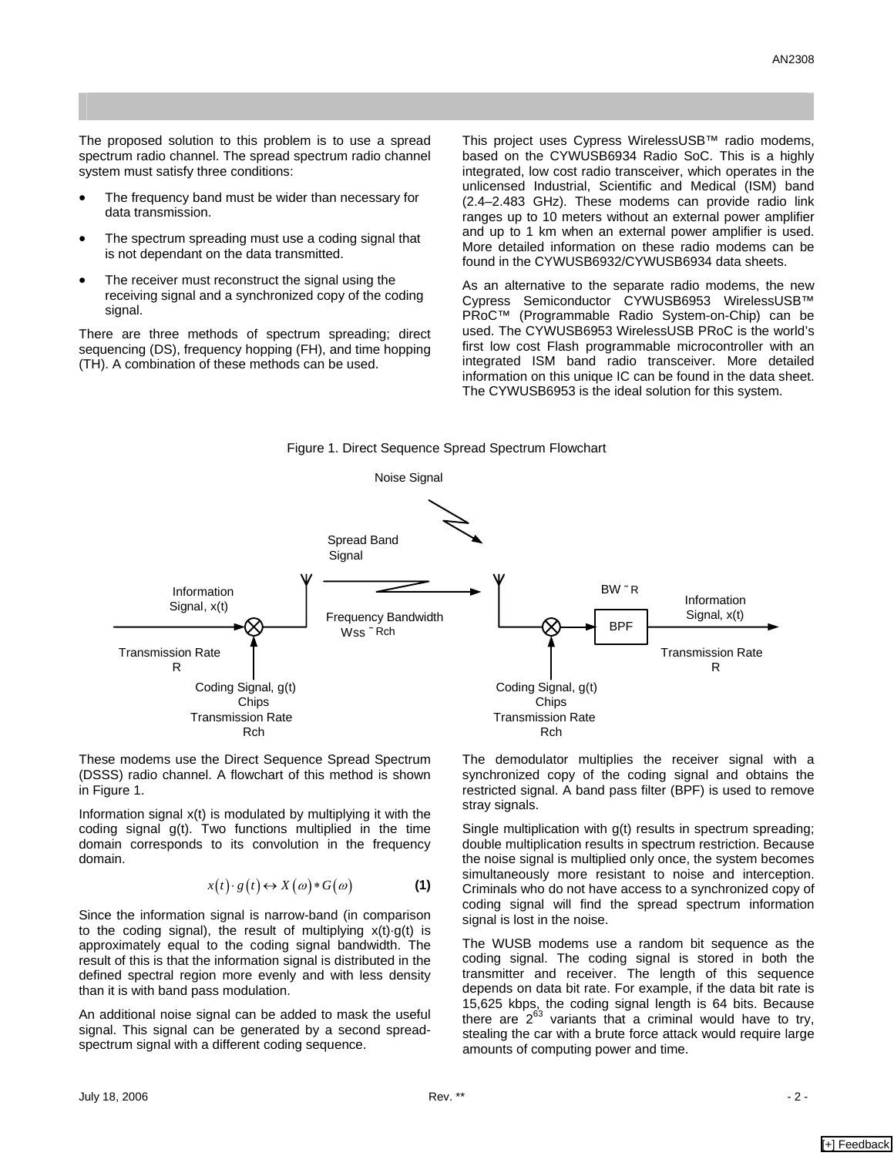The proposed solution to this problem is to use a spread spectrum radio channel. The spread spectrum radio channel system must satisfy three conditions:

- The frequency band must be wider than necessary for data transmission.
- The spectrum spreading must use a coding signal that is not dependant on the data transmitted.
- The receiver must reconstruct the signal using the receiving signal and a synchronized copy of the coding signal.

There are three methods of spectrum spreading; direct sequencing (DS), frequency hopping (FH), and time hopping (TH). A combination of these methods can be used.

This project uses Cypress WirelessUSB™ radio modems, based on the CYWUSB6934 Radio SoC. This is a highly integrated, low cost radio transceiver, which operates in the unlicensed Industrial, Scientific and Medical (ISM) band (2.4–2.483 GHz). These modems can provide radio link ranges up to 10 meters without an external power amplifier and up to 1 km when an external power amplifier is used. More detailed information on these radio modems can be found in the CYWUSB6932/CYWUSB6934 data sheets.

As an alternative to the separate radio modems, the new Cypress Semiconductor CYWUSB6953 WirelessUSB™ PRoC™ (Programmable Radio System-on-Chip) can be used. The CYWUSB6953 WirelessUSB PRoC is the world's first low cost Flash programmable microcontroller with an integrated ISM band radio transceiver. More detailed information on this unique IC can be found in the data sheet. The CYWUSB6953 is the ideal solution for this system.

<span id="page-1-0"></span>



These modems use the Direct Sequence Spread Spectrum (DSSS) radio channel. A flowchart of this method is shown in [Figure 1.](#page-1-0)

Information signal x(t) is modulated by multiplying it with the coding signal g(t). Two functions multiplied in the time domain corresponds to its convolution in the frequency domain.

$$
x(t) \cdot g(t) \leftrightarrow X(\omega) * G(\omega) \tag{1}
$$

Since the information signal is narrow-band (in comparison to the coding signal), the result of multiplying x(t)·g(t) is approximately equal to the coding signal bandwidth. The result of this is that the information signal is distributed in the defined spectral region more evenly and with less density than it is with band pass modulation.

An additional noise signal can be added to mask the useful signal. This signal can be generated by a second spreadspectrum signal with a different coding sequence.

The demodulator multiplies the receiver signal with a synchronized copy of the coding signal and obtains the restricted signal. A band pass filter (BPF) is used to remove stray signals.

Single multiplication with  $q(t)$  results in spectrum spreading; double multiplication results in spectrum restriction. Because the noise signal is multiplied only once, the system becomes simultaneously more resistant to noise and interception. Criminals who do not have access to a synchronized copy of coding signal will find the spread spectrum information signal is lost in the noise.

The WUSB modems use a random bit sequence as the coding signal. The coding signal is stored in both the transmitter and receiver. The length of this sequence depends on data bit rate. For example, if the data bit rate is 15,625 kbps, the coding signal length is 64 bits. Because there are  $2^{63}$  variants that a criminal would have to try, stealing the car with a brute force attack would require large amounts of computing power and time.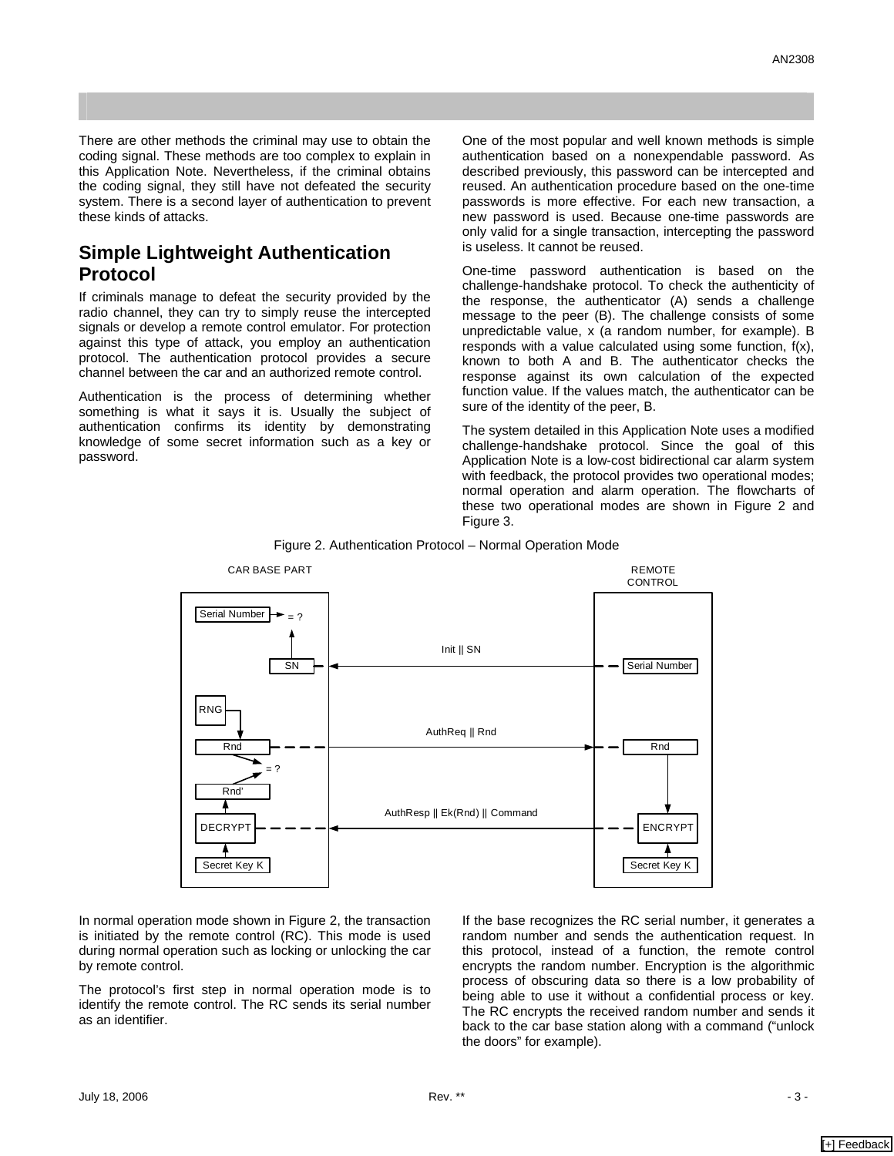There are other methods the criminal may use to obtain the coding signal. These methods are too complex to explain in this Application Note. Nevertheless, if the criminal obtains the coding signal, they still have not defeated the security system. There is a second layer of authentication to prevent these kinds of attacks.

### **Simple Lightweight Authentication Protocol**

If criminals manage to defeat the security provided by the radio channel, they can try to simply reuse the intercepted signals or develop a remote control emulator. For protection against this type of attack, you employ an authentication protocol. The authentication protocol provides a secure channel between the car and an authorized remote control.

Authentication is the process of determining whether something is what it says it is. Usually the subject of authentication confirms its identity by demonstrating knowledge of some secret information such as a key or password.

One of the most popular and well known methods is simple authentication based on a nonexpendable password. As described previously, this password can be intercepted and reused. An authentication procedure based on the one-time passwords is more effective. For each new transaction, a new password is used. Because one-time passwords are only valid for a single transaction, intercepting the password is useless. It cannot be reused.

One-time password authentication is based on the challenge-handshake protocol. To check the authenticity of the response, the authenticator (A) sends a challenge message to the peer (B). The challenge consists of some unpredictable value, x (a random number, for example). B responds with a value calculated using some function, f(x), known to both A and B. The authenticator checks the response against its own calculation of the expected function value. If the values match, the authenticator can be sure of the identity of the peer, B.

The system detailed in this Application Note uses a modified challenge-handshake protocol. Since the goal of this Application Note is a low-cost bidirectional car alarm system with feedback, the protocol provides two operational modes; normal operation and alarm operation. The flowcharts of these two operational modes are shown in [Figure 2](#page-2-0) and [Figure 3.](#page-3-0) 



<span id="page-2-0"></span>Figure 2. Authentication Protocol – Normal Operation Mode

In normal operation mode shown in [Figure 2,](#page-2-0) the transaction is initiated by the remote control (RC). This mode is used during normal operation such as locking or unlocking the car by remote control.

The protocol's first step in normal operation mode is to identify the remote control. The RC sends its serial number as an identifier.

If the base recognizes the RC serial number, it generates a random number and sends the authentication request. In this protocol, instead of a function, the remote control encrypts the random number. Encryption is the algorithmic process of obscuring data so there is a low probability of being able to use it without a confidential process or key. The RC encrypts the received random number and sends it back to the car base station along with a command ("unlock the doors" for example).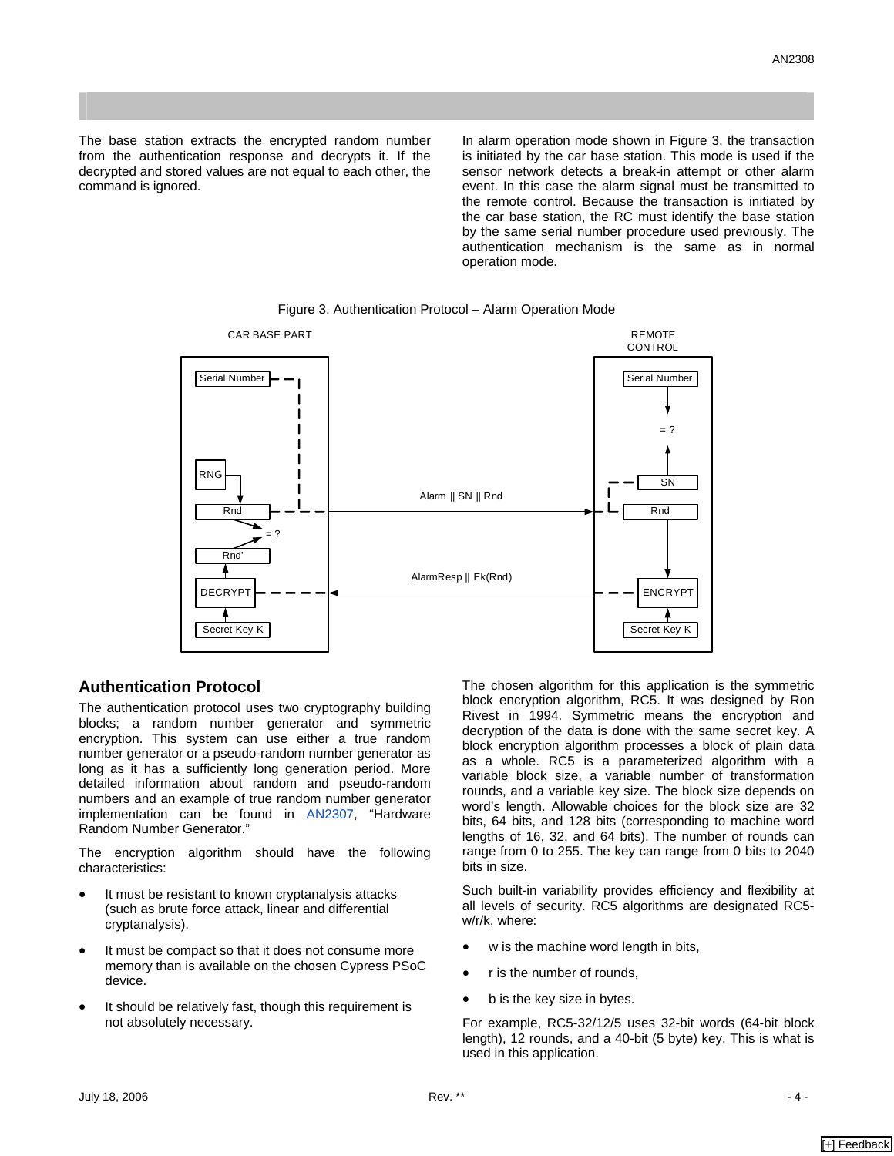The base station extracts the encrypted random number from the authentication response and decrypts it. If the decrypted and stored values are not equal to each other, the command is ignored.

In alarm operation mode shown in [Figure 3,](#page-3-0) the transaction is initiated by the car base station. This mode is used if the sensor network detects a break-in attempt or other alarm event. In this case the alarm signal must be transmitted to the remote control. Because the transaction is initiated by the car base station, the RC must identify the base station by the same serial number procedure used previously. The authentication mechanism is the same as in normal operation mode.



#### <span id="page-3-0"></span>Figure 3. Authentication Protocol – Alarm Operation Mode

#### **Authentication Protocol**

The authentication protocol uses two cryptography building blocks; a random number generator and symmetric encryption. This system can use either a true random number generator or a pseudo-random number generator as long as it has a sufficiently long generation period. More detailed information about random and pseudo-random numbers and an example of true random number generator implementation can be found in [AN2307](http://www.cypress.com/design/AN2307), "Hardware Random Number Generator."

The encryption algorithm should have the following characteristics:

- It must be resistant to known cryptanalysis attacks (such as brute force attack, linear and differential cryptanalysis).
- It must be compact so that it does not consume more memory than is available on the chosen Cypress PSoC device.
- It should be relatively fast, though this requirement is not absolutely necessary.

The chosen algorithm for this application is the symmetric block encryption algorithm, RC5. It was designed by Ron Rivest in 1994. Symmetric means the encryption and decryption of the data is done with the same secret key. A block encryption algorithm processes a block of plain data as a whole. RC5 is a parameterized algorithm with a variable block size, a variable number of transformation rounds, and a variable key size. The block size depends on word's length. Allowable choices for the block size are 32 bits, 64 bits, and 128 bits (corresponding to machine word lengths of 16, 32, and 64 bits). The number of rounds can range from 0 to 255. The key can range from 0 bits to 2040 bits in size.

Such built-in variability provides efficiency and flexibility at all levels of security. RC5 algorithms are designated RC5 w/r/k, where:

- w is the machine word length in bits,
- r is the number of rounds,
- b is the key size in bytes.

For example, RC5-32/12/5 uses 32-bit words (64-bit block length), 12 rounds, and a 40-bit (5 byte) key. This is what is used in this application.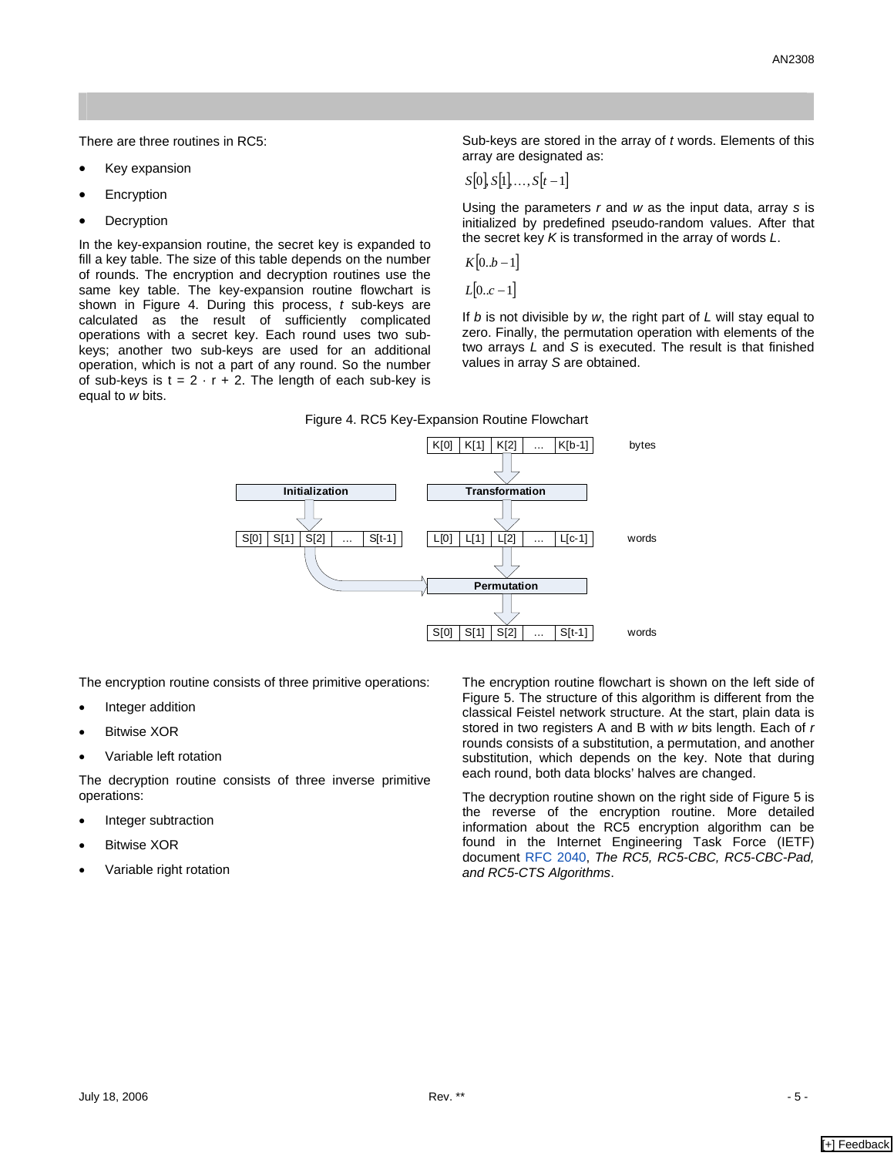There are three routines in RC5:

- Key expansion
- **Encryption**
- **Decryption**

In the key-expansion routine, the secret key is expanded to fill a key table. The size of this table depends on the number of rounds. The encryption and decryption routines use the same key table. The key-expansion routine flowchart is shown in [Figure 4.](#page-4-0) During this process, *t* sub-keys are calculated as the result of sufficiently complicated operations with a secret key. Each round uses two subkeys; another two sub-keys are used for an additional operation, which is not a part of any round. So the number of sub-keys is  $t = 2 \cdot r + 2$ . The length of each sub-key is equal to *w* bits.

Sub-keys are stored in the array of *t* words. Elements of this array are designated as:

$$
S[0], S[1], \ldots, S[t-1]
$$

Using the parameters *r* and *w* as the input data, array *s* is initialized by predefined pseudo-random values. After that the secret key *K* is transformed in the array of words *L*.

$$
K[0..b-1]
$$

*L*[0..*c* −1]

If *b* is not divisible by *w*, the right part of *L* will stay equal to zero. Finally, the permutation operation with elements of the two arrays *L* and *S* is executed. The result is that finished values in array *S* are obtained.

#### <span id="page-4-0"></span>Figure 4. RC5 Key-Expansion Routine Flowchart



The encryption routine consists of three primitive operations:

- Integer addition
- **Bitwise XOR**
- Variable left rotation

The decryption routine consists of three inverse primitive operations:

- Integer subtraction
- **Bitwise XOR**
- Variable right rotation

The encryption routine flowchart is shown on the left side of [Figure 5.](#page-5-0) The structure of this algorithm is different from the classical Feistel network structure. At the start, plain data is stored in two registers A and B with *w* bits length. Each of *r*  rounds consists of a substitution, a permutation, and another substitution, which depends on the key. Note that during each round, both data blocks' halves are changed.

The decryption routine shown on the right side of [Figure 5](#page-5-0) is the reverse of the encryption routine. More detailed information about the RC5 encryption algorithm can be found in the Internet Engineering Task Force (IETF) document [RFC 2040,](http://www.ietf.org/rfc/rfc2040.txt?number=2040) *The RC5, RC5-CBC, RC5-CBC-Pad, and RC5-CTS Algorithms*.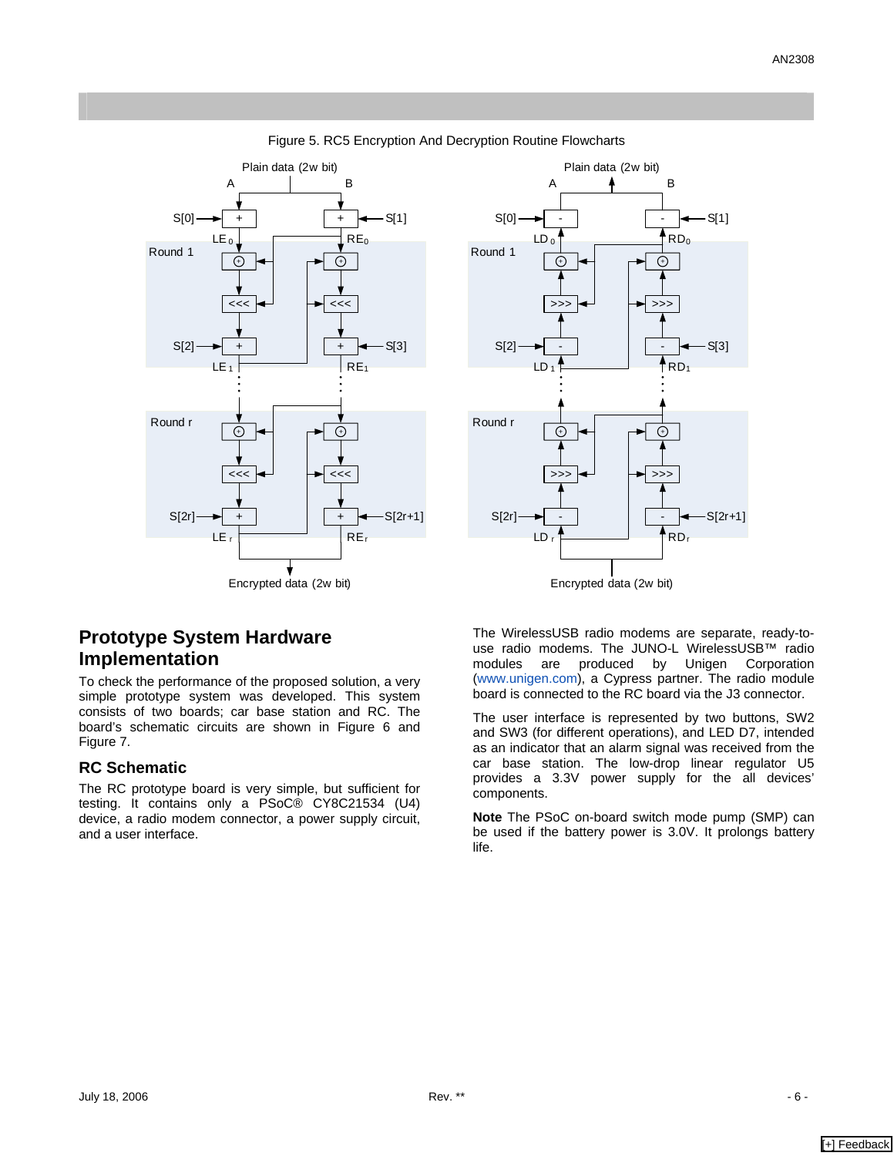

<span id="page-5-0"></span>Figure 5. RC5 Encryption And Decryption Routine Flowcharts



Encrypted data (2w bit)

## **Prototype System Hardware Implementation**

To check the performance of the proposed solution, a very simple prototype system was developed. This system consists of two boards; car base station and RC. The board's schematic circuits are shown in [Figure 6](#page-6-0) and [Figure 7.](#page-6-1) 

#### **RC Schematic**

The RC prototype board is very simple, but sufficient for testing. It contains only a PSoC® CY8C21534 (U4) device, a radio modem connector, a power supply circuit, and a user interface.

The WirelessUSB radio modems are separate, ready-touse radio modems. The JUNO-L WirelessUSB™ radio modules are produced by Unigen Corporation ([www.unigen.com](http://www.unigen.com/)), a Cypress partner. The radio module board is connected to the RC board via the J3 connector.

The user interface is represented by two buttons, SW2 and SW3 (for different operations), and LED D7, intended as an indicator that an alarm signal was received from the car base station. The low-drop linear regulator U5 provides a 3.3V power supply for the all devices' components.

**Note** The PSoC on-board switch mode pump (SMP) can be used if the battery power is 3.0V. It prolongs battery life.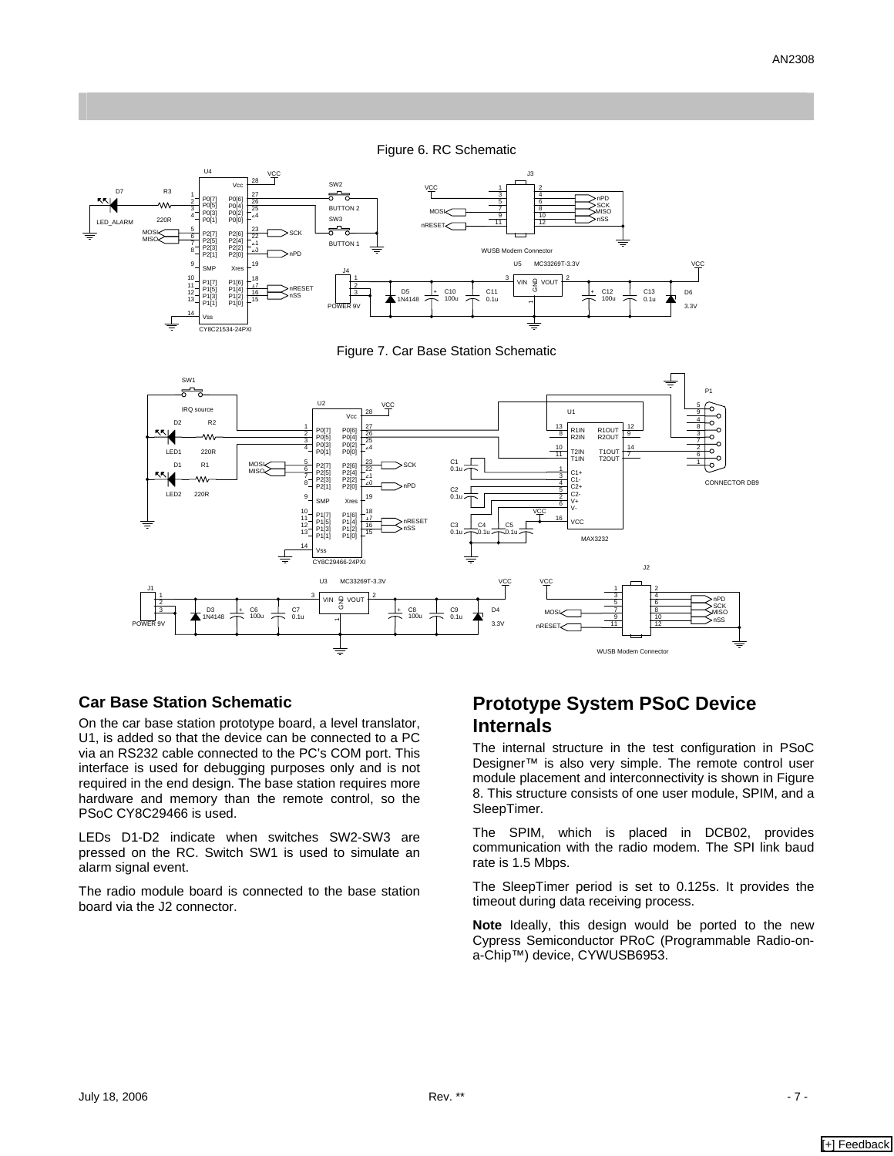<span id="page-6-1"></span><span id="page-6-0"></span>Figure 6. RC Schematic



Figure 7. Car Base Station Schematic



#### **Car Base Station Schematic**

On the car base station prototype board, a level translator, U1, is added so that the device can be connected to a PC via an RS232 cable connected to the PC's COM port. This interface is used for debugging purposes only and is not required in the end design. The base station requires more hardware and memory than the remote control, so the PSoC CY8C29466 is used.

LEDs D1-D2 indicate when switches SW2-SW3 are pressed on the RC. Switch SW1 is used to simulate an alarm signal event.

The radio module board is connected to the base station board via the J2 connector.

### **Prototype System PSoC Device Internals**

The internal structure in the test configuration in PSoC Designer™ is also very simple. The remote control user module placement and interconnectivity is shown in [Figure](#page-7-0)  [8.](#page-7-0) This structure consists of one user module, SPIM, and a SleepTimer.

The SPIM, which is placed in DCB02, provides communication with the radio modem. The SPI link baud rate is 1.5 Mbps.

The SleepTimer period is set to 0.125s. It provides the timeout during data receiving process.

**Note** Ideally, this design would be ported to the new Cypress Semiconductor PRoC (Programmable Radio-ona-Chip™) device, CYWUSB6953.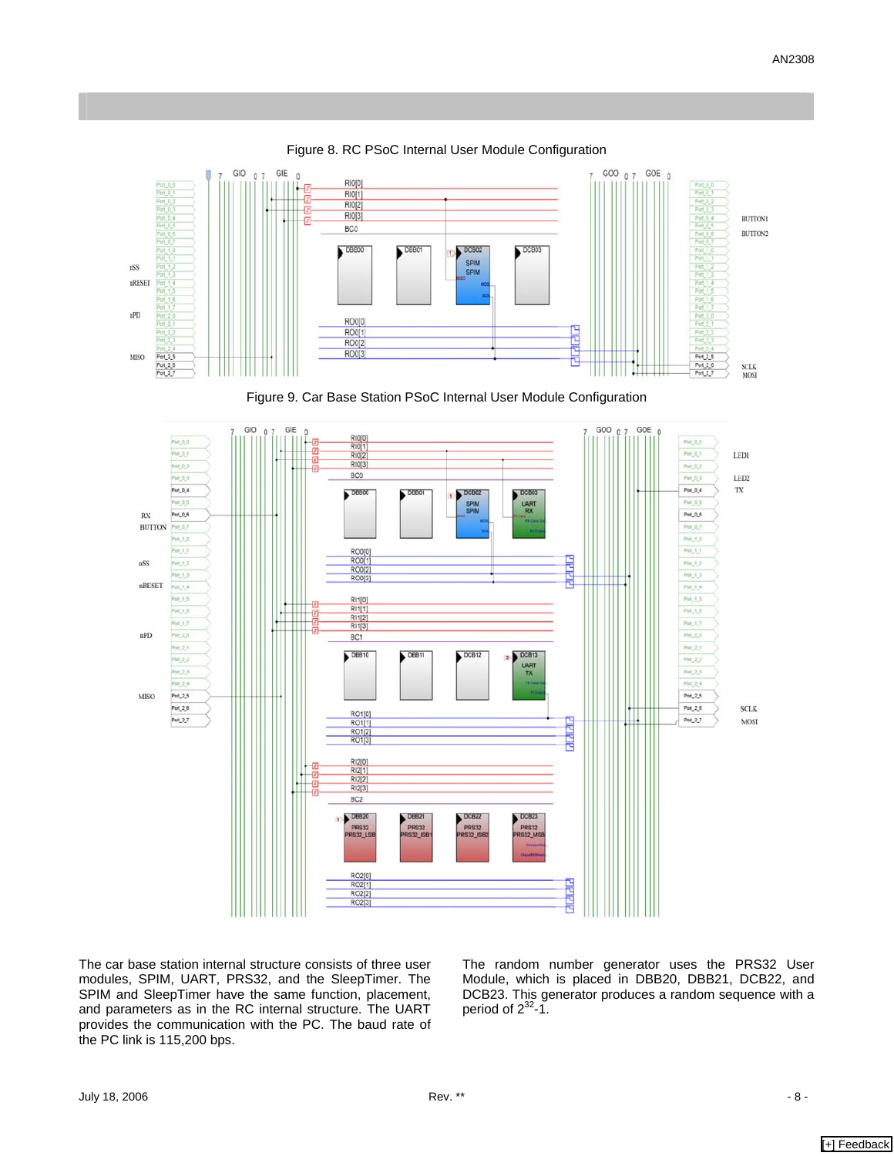

<span id="page-7-0"></span>Figure 8. RC PSoC Internal User Module Configuration

Figure 9. Car Base Station PSoC Internal User Module Configuration



The car base station internal structure consists of three user modules, SPIM, UART, PRS32, and the SleepTimer. The SPIM and SleepTimer have the same function, placement, and parameters as in the RC internal structure. The UART provides the communication with the PC. The baud rate of the PC link is 115,200 bps.

The random number generator uses the PRS32 User Module, which is placed in DBB20, DBB21, DCB22, and DCB23. This generator produces a random sequence with a period of  $2^{32}$ -1.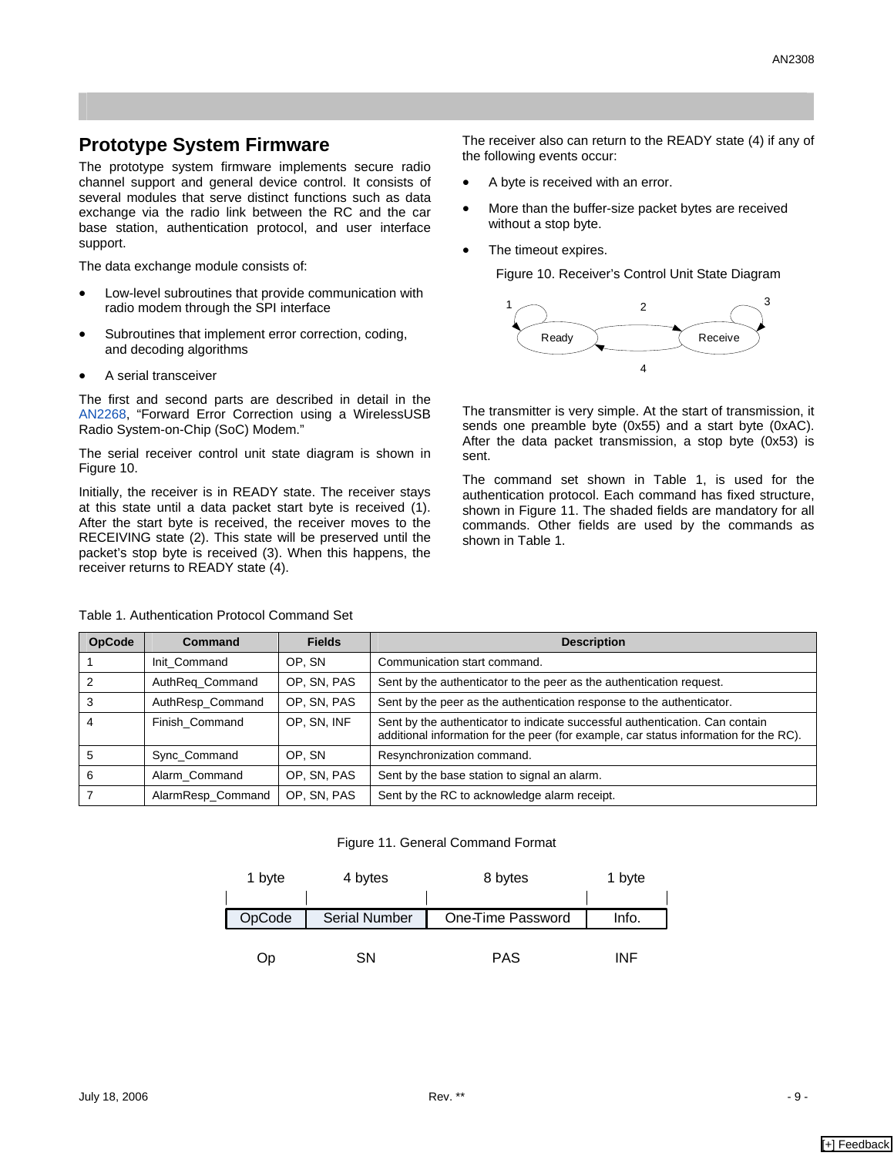#### **Prototype System Firmware**

The prototype system firmware implements secure radio channel support and general device control. It consists of several modules that serve distinct functions such as data exchange via the radio link between the RC and the car base station, authentication protocol, and user interface support.

The data exchange module consists of:

- Low-level subroutines that provide communication with radio modem through the SPI interface
- Subroutines that implement error correction, coding, and decoding algorithms
- A serial transceiver

The first and second parts are described in detail in the [AN2268](http://www.cypress.com/design/2268), "Forward Error Correction using a WirelessUSB Radio System-on-Chip (SoC) Modem."

The serial receiver control unit state diagram is shown in [Figure 10.](#page-8-0)

Initially, the receiver is in READY state. The receiver stays at this state until a data packet start byte is received (1). After the start byte is received, the receiver moves to the RECEIVING state (2). This state will be preserved until the packet's stop byte is received (3). When this happens, the receiver returns to READY state (4).

<span id="page-8-1"></span>Table 1. Authentication Protocol Command Set

The receiver also can return to the READY state (4) if any of the following events occur:

- A byte is received with an error.
- More than the buffer-size packet bytes are received without a stop byte.
- The timeout expires.

<span id="page-8-0"></span>Figure 10. Receiver's Control Unit State Diagram



The transmitter is very simple. At the start of transmission, it sends one preamble byte (0x55) and a start byte (0xAC). After the data packet transmission, a stop byte (0x53) is sent.

The command set shown in [Table 1,](#page-8-1) is used for the authentication protocol. Each command has fixed structure, shown in [Figure 11.](#page-8-2) The shaded fields are mandatory for all commands. Other fields are used by the commands as shown in [Table 1.](#page-8-1)

| <b>OpCode</b> | Command           | <b>Fields</b> | <b>Description</b>                                                                                                                                                    |  |
|---------------|-------------------|---------------|-----------------------------------------------------------------------------------------------------------------------------------------------------------------------|--|
|               | Init Command      | OP. SN        | Communication start command.                                                                                                                                          |  |
|               | AuthReg_Command   | OP. SN, PAS   | Sent by the authenticator to the peer as the authentication request.                                                                                                  |  |
|               | AuthResp_Command  | OP, SN, PAS   | Sent by the peer as the authentication response to the authenticator.                                                                                                 |  |
|               | Finish Command    | OP, SN, INF   | Sent by the authenticator to indicate successful authentication. Can contain<br>additional information for the peer (for example, car status information for the RC). |  |
| 5             | Sync Command      | OP. SN        | Resynchronization command.                                                                                                                                            |  |
| 6             | Alarm Command     | OP, SN, PAS   | Sent by the base station to signal an alarm.                                                                                                                          |  |
|               | AlarmResp_Command | OP, SN, PAS   | Sent by the RC to acknowledge alarm receipt.                                                                                                                          |  |

#### <span id="page-8-2"></span>Figure 11. General Command Format

<span id="page-8-3"></span>

| 1 byte | 4 bytes              | 8 bytes           | 1 byte |
|--------|----------------------|-------------------|--------|
| OpCode | <b>Serial Number</b> | One-Time Password | Info.  |
| Op     | SΝ                   | <b>PAS</b>        | INF    |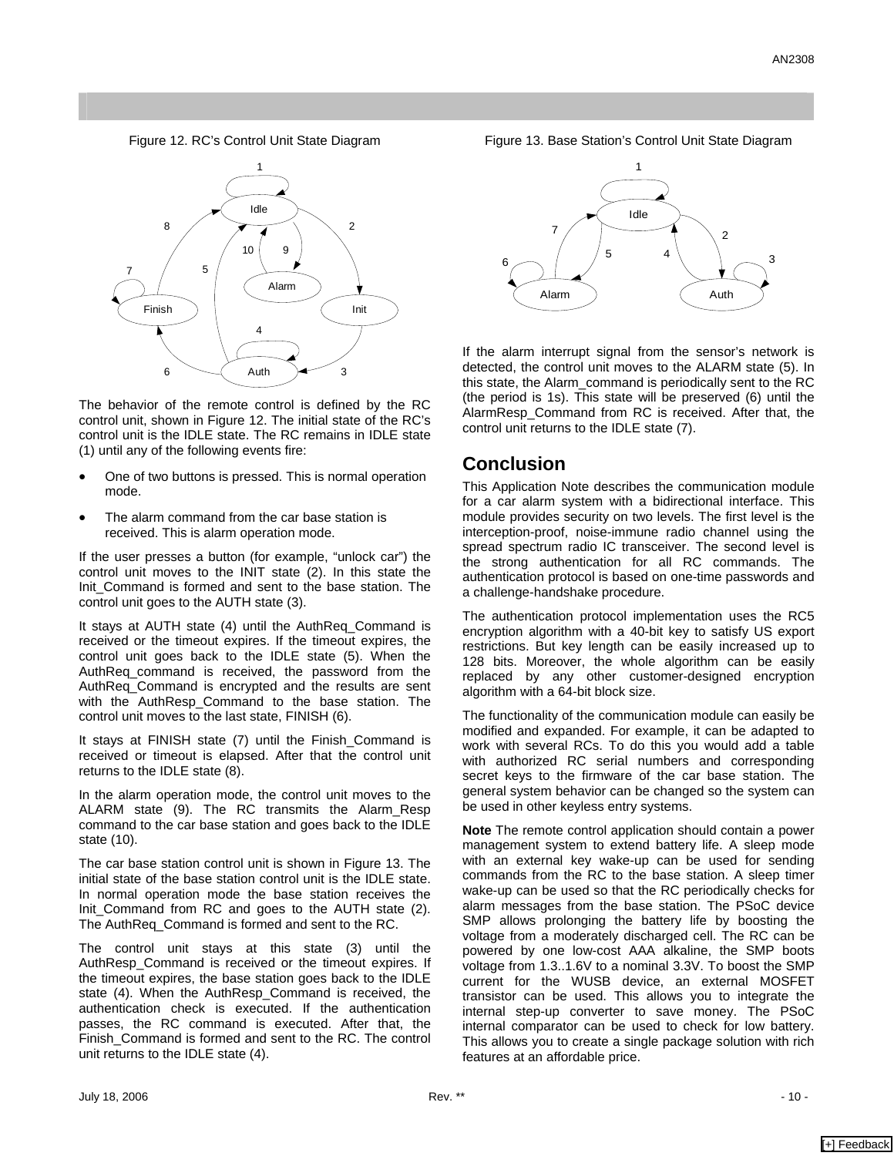Figure 12. RC's Control Unit State Diagram



The behavior of the remote control is defined by the RC control unit, shown in [Figure 12.](#page-8-3) The initial state of the RC's control unit is the IDLE state. The RC remains in IDLE state (1) until any of the following events fire:

- One of two buttons is pressed. This is normal operation mode.
- The alarm command from the car base station is received. This is alarm operation mode.

If the user presses a button (for example, "unlock car") the control unit moves to the INIT state (2). In this state the Init\_Command is formed and sent to the base station. The control unit goes to the AUTH state (3).

It stays at AUTH state (4) until the AuthReq\_Command is received or the timeout expires. If the timeout expires, the control unit goes back to the IDLE state (5). When the AuthReq\_command is received, the password from the AuthReq\_Command is encrypted and the results are sent with the AuthResp\_Command to the base station. The control unit moves to the last state, FINISH (6).

It stays at FINISH state (7) until the Finish\_Command is received or timeout is elapsed. After that the control unit returns to the IDLE state (8).

In the alarm operation mode, the control unit moves to the ALARM state (9). The RC transmits the Alarm\_Resp command to the car base station and goes back to the IDLE state (10).

The car base station control unit is shown in [Figure 13.](#page-9-0) The initial state of the base station control unit is the IDLE state. In normal operation mode the base station receives the Init\_Command from RC and goes to the AUTH state (2). The AuthReq\_Command is formed and sent to the RC.

The control unit stays at this state (3) until the AuthResp\_Command is received or the timeout expires. If the timeout expires, the base station goes back to the IDLE state (4). When the AuthResp\_Command is received, the authentication check is executed. If the authentication passes, the RC command is executed. After that, the Finish\_Command is formed and sent to the RC. The control unit returns to the IDLE state (4).

<span id="page-9-0"></span>



If the alarm interrupt signal from the sensor's network is detected, the control unit moves to the ALARM state (5). In this state, the Alarm\_command is periodically sent to the RC (the period is 1s). This state will be preserved (6) until the AlarmResp\_Command from RC is received. After that, the control unit returns to the IDLE state (7).

#### **Conclusion**

This Application Note describes the communication module for a car alarm system with a bidirectional interface. This module provides security on two levels. The first level is the interception-proof, noise-immune radio channel using the spread spectrum radio IC transceiver. The second level is the strong authentication for all RC commands. The authentication protocol is based on one-time passwords and a challenge-handshake procedure.

The authentication protocol implementation uses the RC5 encryption algorithm with a 40-bit key to satisfy US export restrictions. But key length can be easily increased up to 128 bits. Moreover, the whole algorithm can be easily replaced by any other customer-designed encryption algorithm with a 64-bit block size.

The functionality of the communication module can easily be modified and expanded. For example, it can be adapted to work with several RCs. To do this you would add a table with authorized RC serial numbers and corresponding secret keys to the firmware of the car base station. The general system behavior can be changed so the system can be used in other keyless entry systems.

**Note** The remote control application should contain a power management system to extend battery life. A sleep mode with an external key wake-up can be used for sending commands from the RC to the base station. A sleep timer wake-up can be used so that the RC periodically checks for alarm messages from the base station. The PSoC device SMP allows prolonging the battery life by boosting the voltage from a moderately discharged cell. The RC can be powered by one low-cost AAA alkaline, the SMP boots voltage from 1.3..1.6V to a nominal 3.3V. To boost the SMP current for the WUSB device, an external MOSFET transistor can be used. This allows you to integrate the internal step-up converter to save money. The PSoC internal comparator can be used to check for low battery. This allows you to create a single package solution with rich features at an affordable price.